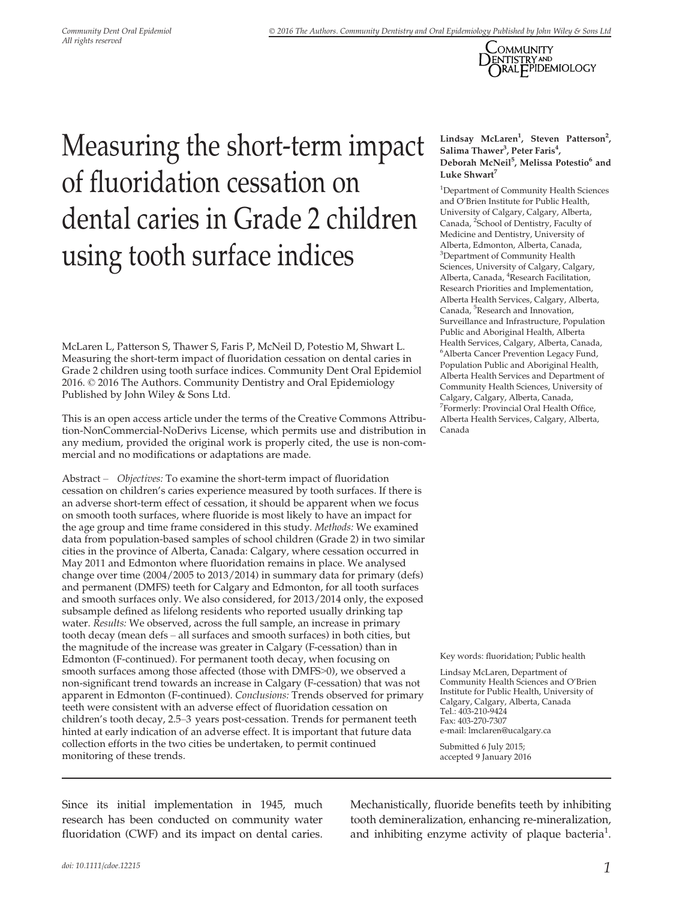

# Measuring the short-term impact of fluoridation cessation on dental caries in Grade 2 children using tooth surface indices

McLaren L, Patterson S, Thawer S, Faris P, McNeil D, Potestio M, Shwart L. Measuring the short-term impact of fluoridation cessation on dental caries in Grade 2 children using tooth surface indices. Community Dent Oral Epidemiol 2016. © 2016 The Authors. Community Dentistry and Oral Epidemiology Published by John Wiley & Sons Ltd.

This is an open access article under the terms of the Creative Commons Attribution-NonCommercial-NoDerivs License, which permits use and distribution in any medium, provided the original work is properly cited, the use is non-commercial and no modifications or adaptations are made.

Abstract – Objectives: To examine the short-term impact of fluoridation cessation on children's caries experience measured by tooth surfaces. If there is an adverse short-term effect of cessation, it should be apparent when we focus on smooth tooth surfaces, where fluoride is most likely to have an impact for the age group and time frame considered in this study. Methods: We examined data from population-based samples of school children (Grade 2) in two similar cities in the province of Alberta, Canada: Calgary, where cessation occurred in May 2011 and Edmonton where fluoridation remains in place. We analysed change over time (2004/2005 to 2013/2014) in summary data for primary (defs) and permanent (DMFS) teeth for Calgary and Edmonton, for all tooth surfaces and smooth surfaces only. We also considered, for 2013/2014 only, the exposed subsample defined as lifelong residents who reported usually drinking tap water. Results: We observed, across the full sample, an increase in primary tooth decay (mean defs – all surfaces and smooth surfaces) in both cities, but the magnitude of the increase was greater in Calgary (F-cessation) than in Edmonton (F-continued). For permanent tooth decay, when focusing on smooth surfaces among those affected (those with DMFS>0), we observed a non-significant trend towards an increase in Calgary (F-cessation) that was not apparent in Edmonton (F-continued). Conclusions: Trends observed for primary teeth were consistent with an adverse effect of fluoridation cessation on children's tooth decay, 2.5–3 years post-cessation. Trends for permanent teeth hinted at early indication of an adverse effect. It is important that future data collection efforts in the two cities be undertaken, to permit continued monitoring of these trends.

Lindsay McLaren<sup>1</sup>, Steven Patterson<sup>2</sup>, Salima Thawer<sup>3</sup>, Peter Faris<sup>4</sup>, Deborah McNeil<sup>5</sup>, Melissa Potestio<sup>6</sup> and Luke Shwart<sup>7</sup>

<sup>1</sup>Department of Community Health Sciences and O'Brien Institute for Public Health, University of Calgary, Calgary, Alberta, Canada, <sup>2</sup>School of Dentistry, Faculty of Medicine and Dentistry, University of Alberta, Edmonton, Alberta, Canada, 3 Department of Community Health Sciences, University of Calgary, Calgary, Alberta, Canada, <sup>4</sup>Research Facilitation, Research Priorities and Implementation, Alberta Health Services, Calgary, Alberta, Canada, <sup>5</sup>Research and Innovation, Surveillance and Infrastructure, Population Public and Aboriginal Health, Alberta Health Services, Calgary, Alberta, Canada, 6 Alberta Cancer Prevention Legacy Fund, Population Public and Aboriginal Health, Alberta Health Services and Department of Community Health Sciences, University of Calgary, Calgary, Alberta, Canada, <sup>7</sup>Formerly: Provincial Oral Health Office, Alberta Health Services, Calgary, Alberta, Canada

Key words: fluoridation; Public health

Lindsay McLaren, Department of Community Health Sciences and O'Brien Institute for Public Health, University of Calgary, Calgary, Alberta, Canada Tel.: 403-210-9424 Fax: 403-270-7307 e-mail: lmclaren@ucalgary.ca

Submitted 6 July 2015; accepted 9 January 2016

Since its initial implementation in 1945, much research has been conducted on community water fluoridation (CWF) and its impact on dental caries.

Mechanistically, fluoride benefits teeth by inhibiting tooth demineralization, enhancing re-mineralization, and inhibiting enzyme activity of plaque bacteria<sup>1</sup>.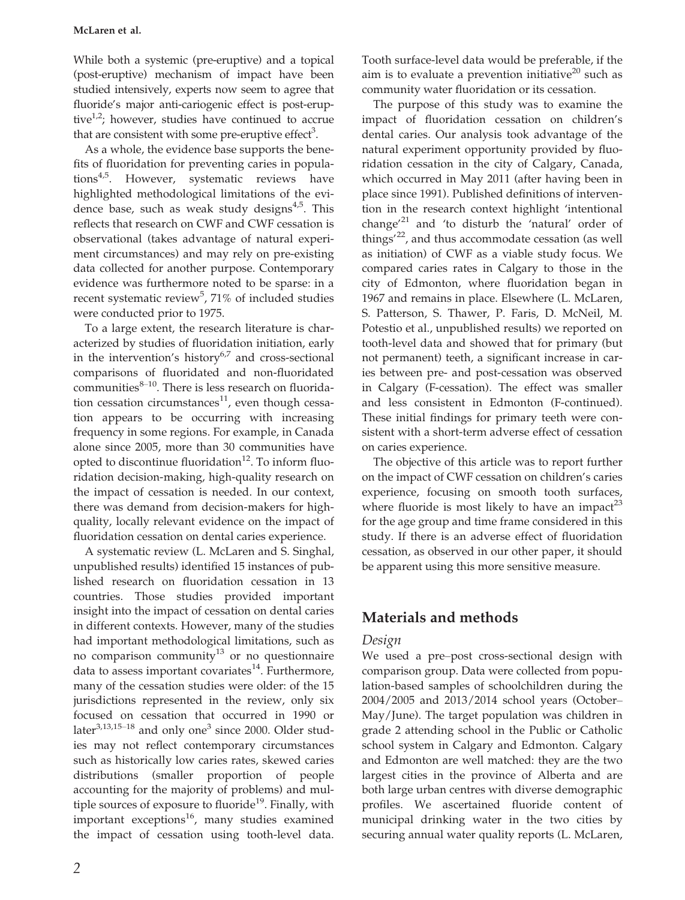#### McLaren et al.

While both a systemic (pre-eruptive) and a topical (post-eruptive) mechanism of impact have been studied intensively, experts now seem to agree that fluoride's major anti-cariogenic effect is post-eruptive<sup>1,2</sup>; however, studies have continued to accrue that are consistent with some pre-eruptive effect<sup>3</sup>.

As a whole, the evidence base supports the benefits of fluoridation for preventing caries in populations<sup>4,5</sup>. However, systematic reviews have highlighted methodological limitations of the evidence base, such as weak study designs $4.5$ . This reflects that research on CWF and CWF cessation is observational (takes advantage of natural experiment circumstances) and may rely on pre-existing data collected for another purpose. Contemporary evidence was furthermore noted to be sparse: in a recent systematic review<sup>5</sup>, 71% of included studies were conducted prior to 1975.

To a large extent, the research literature is characterized by studies of fluoridation initiation, early in the intervention's history $6.7$  and cross-sectional comparisons of fluoridated and non-fluoridated communities $^{8-10}$ . There is less research on fluoridation cessation circumstances $11$ , even though cessation appears to be occurring with increasing frequency in some regions. For example, in Canada alone since 2005, more than 30 communities have opted to discontinue fluoridation<sup>12</sup>. To inform fluoridation decision-making, high-quality research on the impact of cessation is needed. In our context, there was demand from decision-makers for highquality, locally relevant evidence on the impact of fluoridation cessation on dental caries experience.

A systematic review (L. McLaren and S. Singhal, unpublished results) identified 15 instances of published research on fluoridation cessation in 13 countries. Those studies provided important insight into the impact of cessation on dental caries in different contexts. However, many of the studies had important methodological limitations, such as no comparison community $13$  or no questionnaire data to assess important covariates<sup>14</sup>. Furthermore, many of the cessation studies were older: of the 15 jurisdictions represented in the review, only six focused on cessation that occurred in 1990 or later $^{3,13,15-18}$  and only one<sup>3</sup> since 2000. Older studies may not reflect contemporary circumstances such as historically low caries rates, skewed caries distributions (smaller proportion of people accounting for the majority of problems) and multiple sources of exposure to fluoride<sup>19</sup>. Finally, with important exceptions $^{16}$ , many studies examined the impact of cessation using tooth-level data.

Tooth surface-level data would be preferable, if the aim is to evaluate a prevention initiative $^{20}$  such as community water fluoridation or its cessation.

The purpose of this study was to examine the impact of fluoridation cessation on children's dental caries. Our analysis took advantage of the natural experiment opportunity provided by fluoridation cessation in the city of Calgary, Canada, which occurred in May 2011 (after having been in place since 1991). Published definitions of intervention in the research context highlight 'intentional change $^2$ <sup>1</sup> and 'to disturb the 'natural' order of things<sup>'22</sup>, and thus accommodate cessation (as well as initiation) of CWF as a viable study focus. We compared caries rates in Calgary to those in the city of Edmonton, where fluoridation began in 1967 and remains in place. Elsewhere (L. McLaren, S. Patterson, S. Thawer, P. Faris, D. McNeil, M. Potestio et al., unpublished results) we reported on tooth-level data and showed that for primary (but not permanent) teeth, a significant increase in caries between pre- and post-cessation was observed in Calgary (F-cessation). The effect was smaller and less consistent in Edmonton (F-continued). These initial findings for primary teeth were consistent with a short-term adverse effect of cessation on caries experience.

The objective of this article was to report further on the impact of CWF cessation on children's caries experience, focusing on smooth tooth surfaces, where fluoride is most likely to have an impact<sup>23</sup> for the age group and time frame considered in this study. If there is an adverse effect of fluoridation cessation, as observed in our other paper, it should be apparent using this more sensitive measure.

# Materials and methods

## Design

We used a pre–post cross-sectional design with comparison group. Data were collected from population-based samples of schoolchildren during the 2004/2005 and 2013/2014 school years (October– May/June). The target population was children in grade 2 attending school in the Public or Catholic school system in Calgary and Edmonton. Calgary and Edmonton are well matched: they are the two largest cities in the province of Alberta and are both large urban centres with diverse demographic profiles. We ascertained fluoride content of municipal drinking water in the two cities by securing annual water quality reports (L. McLaren,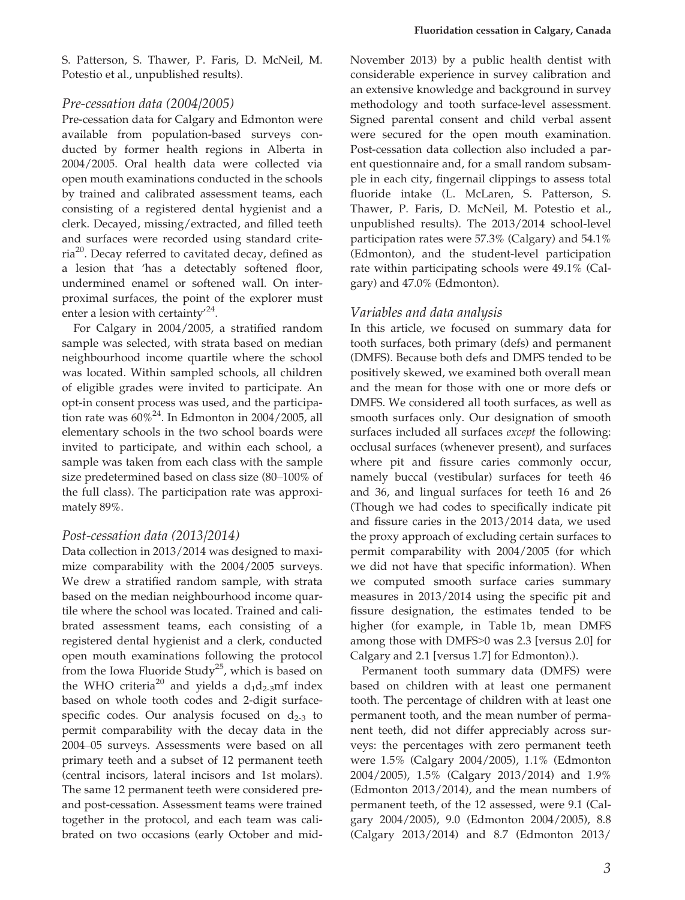S. Patterson, S. Thawer, P. Faris, D. McNeil, M. Potestio et al., unpublished results).

#### Pre-cessation data (2004/2005)

Pre-cessation data for Calgary and Edmonton were available from population-based surveys conducted by former health regions in Alberta in 2004/2005. Oral health data were collected via open mouth examinations conducted in the schools by trained and calibrated assessment teams, each consisting of a registered dental hygienist and a clerk. Decayed, missing/extracted, and filled teeth and surfaces were recorded using standard criteria<sup>20</sup>. Decay referred to cavitated decay, defined as a lesion that 'has a detectably softened floor, undermined enamel or softened wall. On interproximal surfaces, the point of the explorer must enter a lesion with certainty<sup> $24$ </sup>.

For Calgary in 2004/2005, a stratified random sample was selected, with strata based on median neighbourhood income quartile where the school was located. Within sampled schools, all children of eligible grades were invited to participate. An opt-in consent process was used, and the participation rate was  $60\%^{24}$ . In Edmonton in 2004/2005, all elementary schools in the two school boards were invited to participate, and within each school, a sample was taken from each class with the sample size predetermined based on class size (80–100% of the full class). The participation rate was approximately 89%.

#### Post-cessation data (2013/2014)

Data collection in 2013/2014 was designed to maximize comparability with the 2004/2005 surveys. We drew a stratified random sample, with strata based on the median neighbourhood income quartile where the school was located. Trained and calibrated assessment teams, each consisting of a registered dental hygienist and a clerk, conducted open mouth examinations following the protocol from the Iowa Fluoride Study<sup>25</sup>, which is based on the WHO criteria<sup>20</sup> and yields a  $d_1d_2$ -3mf index based on whole tooth codes and 2-digit surfacespecific codes. Our analysis focused on  $d_{2-3}$  to permit comparability with the decay data in the 2004–05 surveys. Assessments were based on all primary teeth and a subset of 12 permanent teeth (central incisors, lateral incisors and 1st molars). The same 12 permanent teeth were considered preand post-cessation. Assessment teams were trained together in the protocol, and each team was calibrated on two occasions (early October and midNovember 2013) by a public health dentist with considerable experience in survey calibration and an extensive knowledge and background in survey methodology and tooth surface-level assessment. Signed parental consent and child verbal assent were secured for the open mouth examination. Post-cessation data collection also included a parent questionnaire and, for a small random subsample in each city, fingernail clippings to assess total fluoride intake (L. McLaren, S. Patterson, S. Thawer, P. Faris, D. McNeil, M. Potestio et al., unpublished results). The 2013/2014 school-level participation rates were 57.3% (Calgary) and 54.1% (Edmonton), and the student-level participation rate within participating schools were 49.1% (Calgary) and 47.0% (Edmonton).

#### Variables and data analysis

In this article, we focused on summary data for tooth surfaces, both primary (defs) and permanent (DMFS). Because both defs and DMFS tended to be positively skewed, we examined both overall mean and the mean for those with one or more defs or DMFS. We considered all tooth surfaces, as well as smooth surfaces only. Our designation of smooth surfaces included all surfaces except the following: occlusal surfaces (whenever present), and surfaces where pit and fissure caries commonly occur, namely buccal (vestibular) surfaces for teeth 46 and 36, and lingual surfaces for teeth 16 and 26 (Though we had codes to specifically indicate pit and fissure caries in the 2013/2014 data, we used the proxy approach of excluding certain surfaces to permit comparability with 2004/2005 (for which we did not have that specific information). When we computed smooth surface caries summary measures in 2013/2014 using the specific pit and fissure designation, the estimates tended to be higher (for example, in Table 1b, mean DMFS among those with DMFS>0 was 2.3 [versus 2.0] for Calgary and 2.1 [versus 1.7] for Edmonton).).

Permanent tooth summary data (DMFS) were based on children with at least one permanent tooth. The percentage of children with at least one permanent tooth, and the mean number of permanent teeth, did not differ appreciably across surveys: the percentages with zero permanent teeth were 1.5% (Calgary 2004/2005), 1.1% (Edmonton 2004/2005), 1.5% (Calgary 2013/2014) and 1.9% (Edmonton 2013/2014), and the mean numbers of permanent teeth, of the 12 assessed, were 9.1 (Calgary 2004/2005), 9.0 (Edmonton 2004/2005), 8.8 (Calgary 2013/2014) and 8.7 (Edmonton 2013/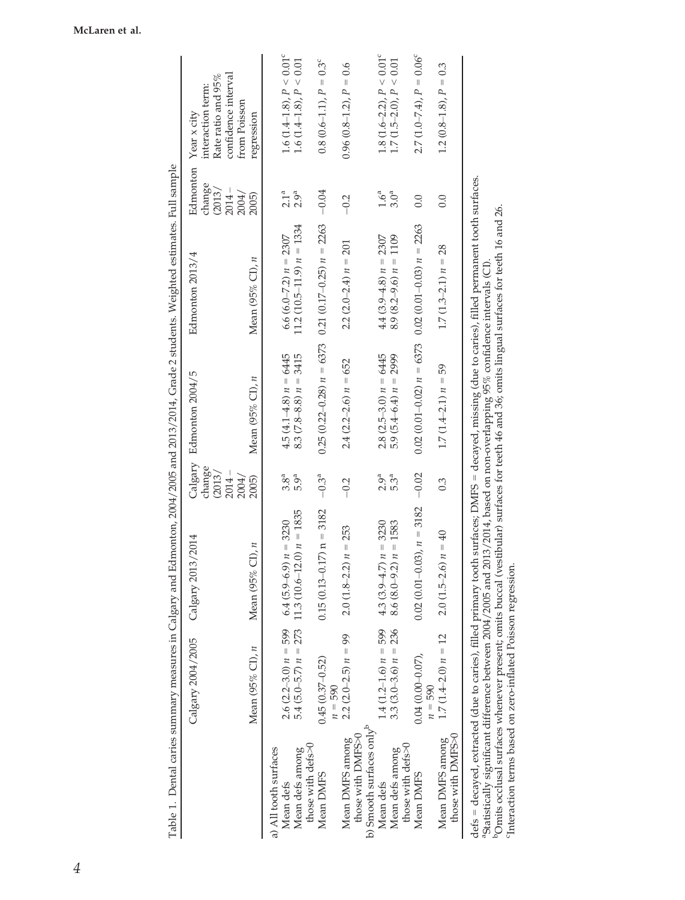|                                                                              | Calgary 2004/2005<br>Mean (95% CI), n | Calgary 2013/2014<br>$Cl)$ , $n$<br>Mean $(95%$                                                                                                                                                                                                                                                                                                                                                                                                                | Calgary<br>change<br>(2013)<br>$2014 -$<br>2004/<br>2005) | Edmonton 2004/5<br>Mean (95% CI), $n$                       | Edmonton 2013/4<br>Mean (95% CI), $n$ | Edmonton<br>change<br>(2013)<br>$2014 -$<br>2004/<br>2005) | confidence interval<br>Rate ratio and 95%<br>interaction term:<br>from Poisson<br>Year x city<br>regression |
|------------------------------------------------------------------------------|---------------------------------------|----------------------------------------------------------------------------------------------------------------------------------------------------------------------------------------------------------------------------------------------------------------------------------------------------------------------------------------------------------------------------------------------------------------------------------------------------------------|-----------------------------------------------------------|-------------------------------------------------------------|---------------------------------------|------------------------------------------------------------|-------------------------------------------------------------------------------------------------------------|
| a) All tooth surfaces                                                        |                                       |                                                                                                                                                                                                                                                                                                                                                                                                                                                                |                                                           |                                                             |                                       |                                                            |                                                                                                             |
| Mean defs                                                                    | $2.6(2.2-3.0) n = 599$                | $6.4(5.9-6.9) n = 3230$                                                                                                                                                                                                                                                                                                                                                                                                                                        | $3.8^{\rm a}$                                             | $4.5(4.1 - 4.8) n = 6445$                                   | 6.6 (6.0–7.2) $n = 2307$              | 2.1 <sup>a</sup>                                           | 1.6 (1.4–1.8), $P < 0.01^{\circ}$                                                                           |
| those with defs>0<br>Mean defs among                                         | $5.4(5.0-5.7) n = 273$                | $11.3(10.6-12.0) n = 1835$                                                                                                                                                                                                                                                                                                                                                                                                                                     | 5.9а                                                      | $8.3 (7.8 - 8.8) n = 3415$                                  | $11.2(10.5-11.9) n = 1334$            | 2.9 <sup>a</sup>                                           | 1.6 (1.4–1.8), $P < 0.01$                                                                                   |
| Mean DMFS                                                                    | $0.45(0.37 - 0.52)$<br>$n = 590$      | $0.15(0.13-0.17)$ n = 3182                                                                                                                                                                                                                                                                                                                                                                                                                                     | $-0.3^{a}$                                                | $0.25(0.22-0.28) n = 6373$ $0.21(0.17-0.25) n = 2263$ -0.04 |                                       |                                                            | $0.8(0.6-1.1), P = 0.3^{\circ}$                                                                             |
| b) Smooth surfaces only <sup>b</sup><br>those with DMFS>0<br>Mean DMFS among | $2.2(2.0-2.5) n = 99$                 | $2.0(1.8-2.2) n = 253$                                                                                                                                                                                                                                                                                                                                                                                                                                         | $-0.2$                                                    | $2.4$ (2.2–2.6) $n = 652$                                   | $2.2(2.0-2.4) n = 201$                | $-0.2$                                                     | $0.96$ ( $0.8-1.2$ ), $P = 0.6$                                                                             |
| Mean defs                                                                    | $1.4(1.2-1.6) n = 599$                | 4.3 $(3.9-4.7) n = 3230$                                                                                                                                                                                                                                                                                                                                                                                                                                       | $2.9^{\mathrm{a}}$                                        | $2.8$ ( $2.5-3.0$ ) $n = 6445$                              | $4.4(3.9-4.8) n = 2307$               | $1.6^a$                                                    | $1.8(1.6-2.2), P < 0.01^{\circ}$                                                                            |
| those with defs>0<br>Mean defs among                                         | $3.3(3.0-3.6) n = 236$                | $8.6(8.0-9.2) n = 1583$                                                                                                                                                                                                                                                                                                                                                                                                                                        | 5.3 <sup>a</sup>                                          | 5.9 $(5.4-6.4) n = 2999$                                    | 1109<br>$8.9(8.2-9.6) n =$            | 3.0 <sup>a</sup>                                           | $1.7 (1.5-2.0), P < 0.01$                                                                                   |
| Mean DMFS                                                                    | $0.04(0.00 - 0.07)$ ,<br>$n = 590$    | $0.02(0.01-0.03), n = 3182 - 0.02$                                                                                                                                                                                                                                                                                                                                                                                                                             |                                                           | $0.02(0.01-0.02) n = 6373$ $0.02(0.01-0.03) n = 2263$       |                                       | 0.0                                                        | $2.7(1.0 - 7.4), P = 0.06^{\circ}$                                                                          |
| those with DMFS>0<br>Mean DMFS among                                         | $1.7(1.4-2.0) n = 12$                 | $2.0(1.5-2.6) n = 40$                                                                                                                                                                                                                                                                                                                                                                                                                                          | 0.3                                                       | $1.7(1.4-2.1) n = 59$                                       | $1.7(1.3-2.1) n = 28$                 | 0.0                                                        | $1.2(0.8-1.8), P = 0.3$                                                                                     |
| <sup>C</sup> Interaction terms based on zero-inflated Poisson regression     |                                       | defs = decayed, extracted (due to caries), filled primary tooth surfaces; DMFS = decayed, missing (due to caries), filled permanent tooth surfaces.<br><sup>p</sup> Omits occlusal surfaces whenever present; omits buccal (vestibular) surfaces for teeth 46 and 36; omits lingual surfaces for teeth 16 and 26.<br><sup>a</sup> Statistically significant difference between 2004/2005 and 2013/2014, based on non-overlapping 95% confidence intervals (CI) |                                                           |                                                             |                                       |                                                            |                                                                                                             |

| l                                                                                               |  |
|-------------------------------------------------------------------------------------------------|--|
|                                                                                                 |  |
| ì                                                                                               |  |
| ļ                                                                                               |  |
|                                                                                                 |  |
|                                                                                                 |  |
|                                                                                                 |  |
|                                                                                                 |  |
|                                                                                                 |  |
| .<br>.<br>)                                                                                     |  |
|                                                                                                 |  |
| $\ddot{\phantom{a}}$                                                                            |  |
|                                                                                                 |  |
|                                                                                                 |  |
|                                                                                                 |  |
|                                                                                                 |  |
|                                                                                                 |  |
|                                                                                                 |  |
| $\begin{array}{ccc}\n\begin{array}{ccc}\n1 & 0 \\ 1 & 0\n\end{array}\n\end{array}$              |  |
|                                                                                                 |  |
|                                                                                                 |  |
|                                                                                                 |  |
|                                                                                                 |  |
|                                                                                                 |  |
|                                                                                                 |  |
|                                                                                                 |  |
|                                                                                                 |  |
| וי בטב יש בשם שטטע<br>$\begin{array}{c}\n\bullet \\ \bullet \\ \bullet \\ \bullet\n\end{array}$ |  |
|                                                                                                 |  |
|                                                                                                 |  |
|                                                                                                 |  |
|                                                                                                 |  |
| ļ                                                                                               |  |
|                                                                                                 |  |
|                                                                                                 |  |
| $-2$ $-1$ $-2$ $-2$ $-1$                                                                        |  |
| ١                                                                                               |  |
| $\overline{\phantom{a}}$                                                                        |  |
| leasules III Calealy all                                                                        |  |
|                                                                                                 |  |
| ミニュー・コー                                                                                         |  |
|                                                                                                 |  |
| í                                                                                               |  |
|                                                                                                 |  |
|                                                                                                 |  |
| ׇ֚                                                                                              |  |
|                                                                                                 |  |
|                                                                                                 |  |
|                                                                                                 |  |
|                                                                                                 |  |
|                                                                                                 |  |
| ļ<br>ļ                                                                                          |  |
|                                                                                                 |  |
|                                                                                                 |  |
| l                                                                                               |  |
|                                                                                                 |  |

#### McLaren et al.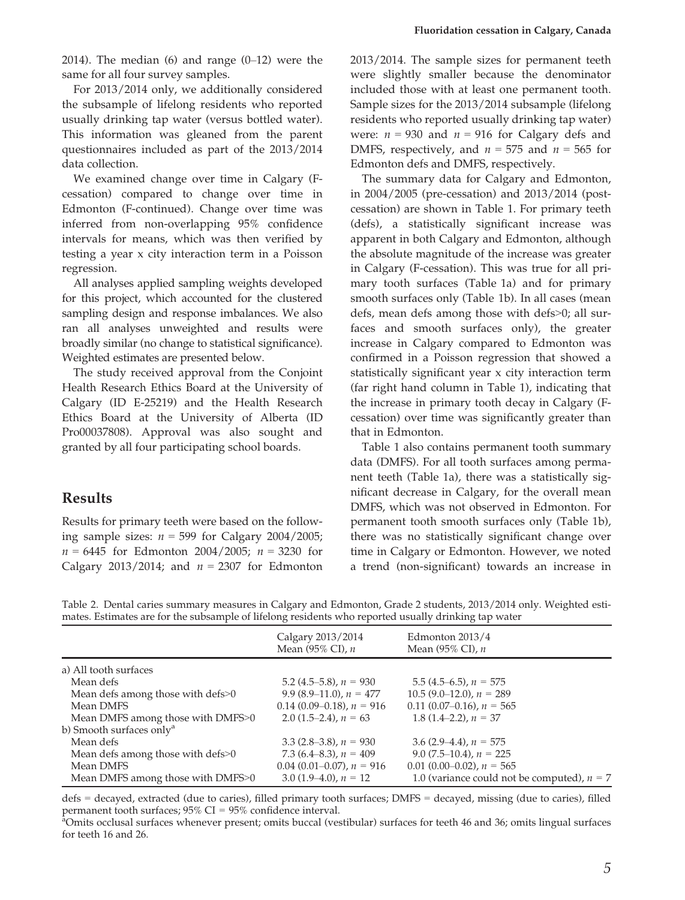2014). The median  $(6)$  and range  $(0-12)$  were the same for all four survey samples.

For 2013/2014 only, we additionally considered the subsample of lifelong residents who reported usually drinking tap water (versus bottled water). This information was gleaned from the parent questionnaires included as part of the 2013/2014 data collection.

We examined change over time in Calgary (Fcessation) compared to change over time in Edmonton (F-continued). Change over time was inferred from non-overlapping 95% confidence intervals for means, which was then verified by testing a year x city interaction term in a Poisson regression.

All analyses applied sampling weights developed for this project, which accounted for the clustered sampling design and response imbalances. We also ran all analyses unweighted and results were broadly similar (no change to statistical significance). Weighted estimates are presented below.

The study received approval from the Conjoint Health Research Ethics Board at the University of Calgary (ID E-25219) and the Health Research Ethics Board at the University of Alberta (ID Pro00037808). Approval was also sought and granted by all four participating school boards.

#### Results

Results for primary teeth were based on the following sample sizes:  $n = 599$  for Calgary 2004/2005;  $n = 6445$  for Edmonton 2004/2005;  $n = 3230$  for Calgary 2013/2014; and  $n = 2307$  for Edmonton

2013/2014. The sample sizes for permanent teeth were slightly smaller because the denominator included those with at least one permanent tooth. Sample sizes for the 2013/2014 subsample (lifelong residents who reported usually drinking tap water) were:  $n = 930$  and  $n = 916$  for Calgary defs and DMFS, respectively, and  $n = 575$  and  $n = 565$  for Edmonton defs and DMFS, respectively.

The summary data for Calgary and Edmonton, in 2004/2005 (pre-cessation) and 2013/2014 (postcessation) are shown in Table 1. For primary teeth (defs), a statistically significant increase was apparent in both Calgary and Edmonton, although the absolute magnitude of the increase was greater in Calgary (F-cessation). This was true for all primary tooth surfaces (Table 1a) and for primary smooth surfaces only (Table 1b). In all cases (mean defs, mean defs among those with defs>0; all surfaces and smooth surfaces only), the greater increase in Calgary compared to Edmonton was confirmed in a Poisson regression that showed a statistically significant year x city interaction term (far right hand column in Table 1), indicating that the increase in primary tooth decay in Calgary (Fcessation) over time was significantly greater than that in Edmonton.

Table 1 also contains permanent tooth summary data (DMFS). For all tooth surfaces among permanent teeth (Table 1a), there was a statistically significant decrease in Calgary, for the overall mean DMFS, which was not observed in Edmonton. For permanent tooth smooth surfaces only (Table 1b), there was no statistically significant change over time in Calgary or Edmonton. However, we noted a trend (non-significant) towards an increase in

Table 2. Dental caries summary measures in Calgary and Edmonton, Grade 2 students, 2013/2014 only. Weighted estimates. Estimates are for the subsample of lifelong residents who reported usually drinking tap water

|                                      | Calgary 2013/2014<br>Mean $(95\%$ CI), n | Edmonton $2013/4$<br>Mean $(95\%$ CI), n      |
|--------------------------------------|------------------------------------------|-----------------------------------------------|
| a) All tooth surfaces                |                                          |                                               |
| Mean defs                            | 5.2 $(4.5-5.8)$ , $n = 930$              | $5.5(4.5-6.5)$ , $n = 575$                    |
| Mean defs among those with defs>0    | 9.9 $(8.9-11.0)$ , $n = 477$             | $10.5(9.0-12.0)$ , $n = 289$                  |
| Mean DMFS                            | $0.14(0.09-0.18)$ , $n = 916$            | $0.11(0.07-0.16)$ , $n = 565$                 |
| Mean DMFS among those with DMFS>0    | 2.0 $(1.5-2.4)$ , $n = 63$               | 1.8 $(1.4-2.2)$ , $n = 37$                    |
| b) Smooth surfaces only <sup>a</sup> |                                          |                                               |
| Mean defs                            | 3.3 $(2.8-3.8)$ , $n = 930$              | 3.6 $(2.9-4.4)$ , $n = 575$                   |
| Mean defs among those with defs>0    | 7.3 $(6.4–8.3)$ , $n = 409$              | 9.0 $(7.5-10.4)$ , $n = 225$                  |
| Mean DMFS                            | $0.04$ (0.01–0.07), $n = 916$            | 0.01 (0.00–0.02), $n = 565$                   |
| Mean DMFS among those with DMFS>0    | 3.0 $(1.9-4.0)$ , $n = 12$               | 1.0 (variance could not be computed), $n = 7$ |

defs = decayed, extracted (due to caries), filled primary tooth surfaces; DMFS = decayed, missing (due to caries), filled permanent tooth surfaces;  $95\%$  CI =  $95\%$  confidence interval.

Omits occlusal surfaces whenever present; omits buccal (vestibular) surfaces for teeth 46 and 36; omits lingual surfaces for teeth 16 and 26.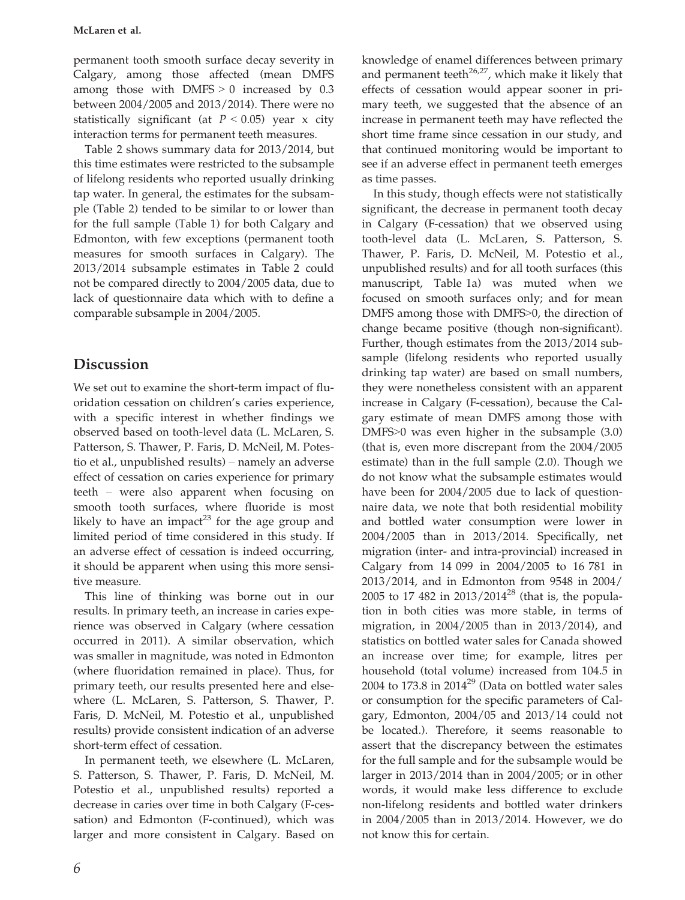permanent tooth smooth surface decay severity in Calgary, among those affected (mean DMFS among those with  $DMFS > 0$  increased by 0.3 between 2004/2005 and 2013/2014). There were no statistically significant (at  $P < 0.05$ ) year x city interaction terms for permanent teeth measures.

Table 2 shows summary data for 2013/2014, but this time estimates were restricted to the subsample of lifelong residents who reported usually drinking tap water. In general, the estimates for the subsample (Table 2) tended to be similar to or lower than for the full sample (Table 1) for both Calgary and Edmonton, with few exceptions (permanent tooth measures for smooth surfaces in Calgary). The 2013/2014 subsample estimates in Table 2 could not be compared directly to 2004/2005 data, due to lack of questionnaire data which with to define a comparable subsample in 2004/2005.

# Discussion

We set out to examine the short-term impact of fluoridation cessation on children's caries experience, with a specific interest in whether findings we observed based on tooth-level data (L. McLaren, S. Patterson, S. Thawer, P. Faris, D. McNeil, M. Potestio et al., unpublished results) – namely an adverse effect of cessation on caries experience for primary teeth – were also apparent when focusing on smooth tooth surfaces, where fluoride is most likely to have an impact<sup>23</sup> for the age group and limited period of time considered in this study. If an adverse effect of cessation is indeed occurring, it should be apparent when using this more sensitive measure.

This line of thinking was borne out in our results. In primary teeth, an increase in caries experience was observed in Calgary (where cessation occurred in 2011). A similar observation, which was smaller in magnitude, was noted in Edmonton (where fluoridation remained in place). Thus, for primary teeth, our results presented here and elsewhere (L. McLaren, S. Patterson, S. Thawer, P. Faris, D. McNeil, M. Potestio et al., unpublished results) provide consistent indication of an adverse short-term effect of cessation.

In permanent teeth, we elsewhere (L. McLaren, S. Patterson, S. Thawer, P. Faris, D. McNeil, M. Potestio et al., unpublished results) reported a decrease in caries over time in both Calgary (F-cessation) and Edmonton (F-continued), which was larger and more consistent in Calgary. Based on

knowledge of enamel differences between primary and permanent teeth<sup>26,27</sup>, which make it likely that effects of cessation would appear sooner in primary teeth, we suggested that the absence of an increase in permanent teeth may have reflected the short time frame since cessation in our study, and that continued monitoring would be important to see if an adverse effect in permanent teeth emerges as time passes.

In this study, though effects were not statistically significant, the decrease in permanent tooth decay in Calgary (F-cessation) that we observed using tooth-level data (L. McLaren, S. Patterson, S. Thawer, P. Faris, D. McNeil, M. Potestio et al., unpublished results) and for all tooth surfaces (this manuscript, Table 1a) was muted when we focused on smooth surfaces only; and for mean DMFS among those with DMFS>0, the direction of change became positive (though non-significant). Further, though estimates from the 2013/2014 subsample (lifelong residents who reported usually drinking tap water) are based on small numbers, they were nonetheless consistent with an apparent increase in Calgary (F-cessation), because the Calgary estimate of mean DMFS among those with DMFS>0 was even higher in the subsample (3.0) (that is, even more discrepant from the 2004/2005 estimate) than in the full sample (2.0). Though we do not know what the subsample estimates would have been for 2004/2005 due to lack of questionnaire data, we note that both residential mobility and bottled water consumption were lower in 2004/2005 than in 2013/2014. Specifically, net migration (inter- and intra-provincial) increased in Calgary from 14 099 in 2004/2005 to 16 781 in 2013/2014, and in Edmonton from 9548 in 2004/ 2005 to 17 482 in  $2013/2014^{28}$  (that is, the population in both cities was more stable, in terms of migration, in 2004/2005 than in 2013/2014), and statistics on bottled water sales for Canada showed an increase over time; for example, litres per household (total volume) increased from 104.5 in 2004 to 173.8 in  $2014^{29}$  (Data on bottled water sales or consumption for the specific parameters of Calgary, Edmonton, 2004/05 and 2013/14 could not be located.). Therefore, it seems reasonable to assert that the discrepancy between the estimates for the full sample and for the subsample would be larger in 2013/2014 than in 2004/2005; or in other words, it would make less difference to exclude non-lifelong residents and bottled water drinkers in 2004/2005 than in 2013/2014. However, we do not know this for certain.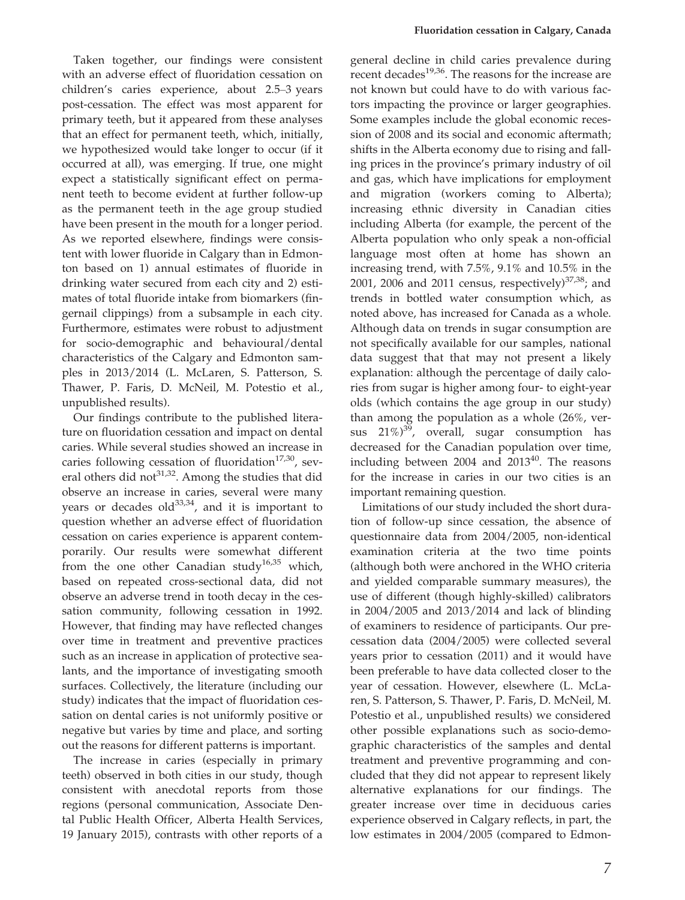Taken together, our findings were consistent with an adverse effect of fluoridation cessation on children's caries experience, about 2.5–3 years post-cessation. The effect was most apparent for primary teeth, but it appeared from these analyses that an effect for permanent teeth, which, initially, we hypothesized would take longer to occur (if it occurred at all), was emerging. If true, one might expect a statistically significant effect on permanent teeth to become evident at further follow-up as the permanent teeth in the age group studied have been present in the mouth for a longer period. As we reported elsewhere, findings were consistent with lower fluoride in Calgary than in Edmonton based on 1) annual estimates of fluoride in drinking water secured from each city and 2) estimates of total fluoride intake from biomarkers (fingernail clippings) from a subsample in each city. Furthermore, estimates were robust to adjustment for socio-demographic and behavioural/dental characteristics of the Calgary and Edmonton samples in 2013/2014 (L. McLaren, S. Patterson, S. Thawer, P. Faris, D. McNeil, M. Potestio et al., unpublished results).

Our findings contribute to the published literature on fluoridation cessation and impact on dental caries. While several studies showed an increase in caries following cessation of fluoridation $17,30$ , several others did not<sup>31,32</sup>. Among the studies that did observe an increase in caries, several were many years or decades old $^{33,34}$ , and it is important to question whether an adverse effect of fluoridation cessation on caries experience is apparent contemporarily. Our results were somewhat different from the one other Canadian study<sup>16,35</sup> which, based on repeated cross-sectional data, did not observe an adverse trend in tooth decay in the cessation community, following cessation in 1992. However, that finding may have reflected changes over time in treatment and preventive practices such as an increase in application of protective sealants, and the importance of investigating smooth surfaces. Collectively, the literature (including our study) indicates that the impact of fluoridation cessation on dental caries is not uniformly positive or negative but varies by time and place, and sorting out the reasons for different patterns is important.

The increase in caries (especially in primary teeth) observed in both cities in our study, though consistent with anecdotal reports from those regions (personal communication, Associate Dental Public Health Officer, Alberta Health Services, 19 January 2015), contrasts with other reports of a

general decline in child caries prevalence during recent decades<sup>19,36</sup>. The reasons for the increase are not known but could have to do with various factors impacting the province or larger geographies. Some examples include the global economic recession of 2008 and its social and economic aftermath; shifts in the Alberta economy due to rising and falling prices in the province's primary industry of oil and gas, which have implications for employment and migration (workers coming to Alberta); increasing ethnic diversity in Canadian cities including Alberta (for example, the percent of the Alberta population who only speak a non-official language most often at home has shown an increasing trend, with 7.5%, 9.1% and 10.5% in the 2001, 2006 and 2011 census, respectively) $37,38$ ; and trends in bottled water consumption which, as noted above, has increased for Canada as a whole. Although data on trends in sugar consumption are not specifically available for our samples, national data suggest that that may not present a likely explanation: although the percentage of daily calories from sugar is higher among four- to eight-year olds (which contains the age group in our study) than among the population as a whole (26%, versus  $21\%)^{39}$ , overall, sugar consumption has decreased for the Canadian population over time, including between  $2004$  and  $2013^{40}$ . The reasons for the increase in caries in our two cities is an important remaining question.

Limitations of our study included the short duration of follow-up since cessation, the absence of questionnaire data from 2004/2005, non-identical examination criteria at the two time points (although both were anchored in the WHO criteria and yielded comparable summary measures), the use of different (though highly-skilled) calibrators in 2004/2005 and 2013/2014 and lack of blinding of examiners to residence of participants. Our precessation data (2004/2005) were collected several years prior to cessation (2011) and it would have been preferable to have data collected closer to the year of cessation. However, elsewhere (L. McLaren, S. Patterson, S. Thawer, P. Faris, D. McNeil, M. Potestio et al., unpublished results) we considered other possible explanations such as socio-demographic characteristics of the samples and dental treatment and preventive programming and concluded that they did not appear to represent likely alternative explanations for our findings. The greater increase over time in deciduous caries experience observed in Calgary reflects, in part, the low estimates in 2004/2005 (compared to Edmon-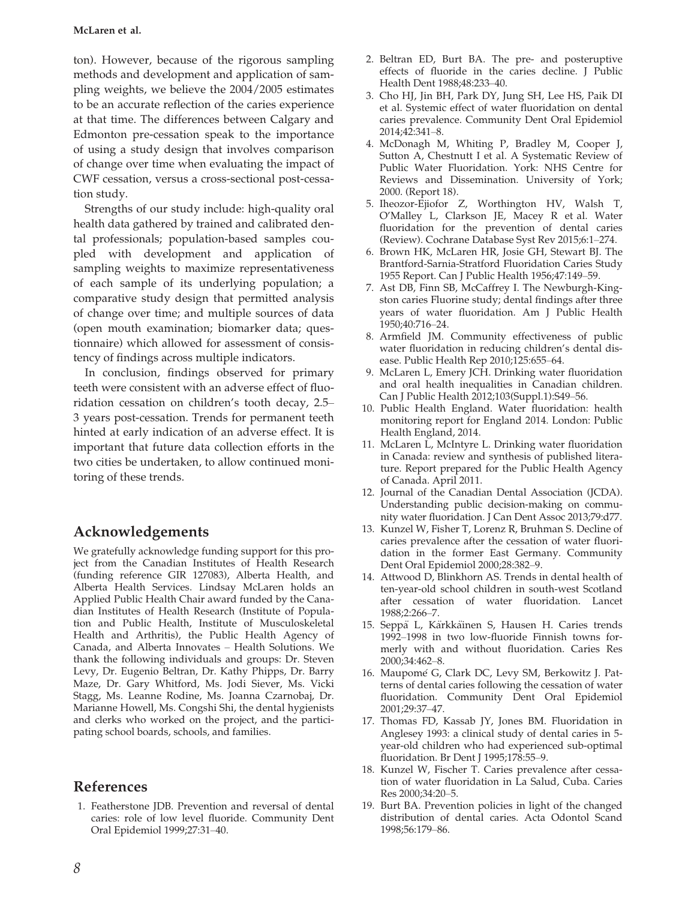#### McLaren et al.

ton). However, because of the rigorous sampling methods and development and application of sampling weights, we believe the 2004/2005 estimates to be an accurate reflection of the caries experience at that time. The differences between Calgary and Edmonton pre-cessation speak to the importance of using a study design that involves comparison of change over time when evaluating the impact of CWF cessation, versus a cross-sectional post-cessation study.

Strengths of our study include: high-quality oral health data gathered by trained and calibrated dental professionals; population-based samples coupled with development and application of sampling weights to maximize representativeness of each sample of its underlying population; a comparative study design that permitted analysis of change over time; and multiple sources of data (open mouth examination; biomarker data; questionnaire) which allowed for assessment of consistency of findings across multiple indicators.

In conclusion, findings observed for primary teeth were consistent with an adverse effect of fluoridation cessation on children's tooth decay, 2.5– 3 years post-cessation. Trends for permanent teeth hinted at early indication of an adverse effect. It is important that future data collection efforts in the two cities be undertaken, to allow continued monitoring of these trends.

## Acknowledgements

We gratefully acknowledge funding support for this project from the Canadian Institutes of Health Research (funding reference GIR 127083), Alberta Health, and Alberta Health Services. Lindsay McLaren holds an Applied Public Health Chair award funded by the Canadian Institutes of Health Research (Institute of Population and Public Health, Institute of Musculoskeletal Health and Arthritis), the Public Health Agency of Canada, and Alberta Innovates – Health Solutions. We thank the following individuals and groups: Dr. Steven Levy, Dr. Eugenio Beltran, Dr. Kathy Phipps, Dr. Barry Maze, Dr. Gary Whitford, Ms. Jodi Siever, Ms. Vicki Stagg, Ms. Leanne Rodine, Ms. Joanna Czarnobaj, Dr. Marianne Howell, Ms. Congshi Shi, the dental hygienists and clerks who worked on the project, and the participating school boards, schools, and families.

## References

1. Featherstone JDB. Prevention and reversal of dental caries: role of low level fluoride. Community Dent Oral Epidemiol 1999;27:31–40.

- 2. Beltran ED, Burt BA. The pre- and posteruptive effects of fluoride in the caries decline. J Public Health Dent 1988;48:233–40.
- 3. Cho HJ, Jin BH, Park DY, Jung SH, Lee HS, Paik DI et al. Systemic effect of water fluoridation on dental caries prevalence. Community Dent Oral Epidemiol 2014;42:341–8.
- 4. McDonagh M, Whiting P, Bradley M, Cooper J, Sutton A, Chestnutt I et al. A Systematic Review of Public Water Fluoridation. York: NHS Centre for Reviews and Dissemination. University of York; 2000. (Report 18).
- 5. Iheozor-Ejiofor Z, Worthington HV, Walsh T, O'Malley L, Clarkson JE, Macey R et al. Water fluoridation for the prevention of dental caries (Review). Cochrane Database Syst Rev 2015;6:1–274.
- 6. Brown HK, McLaren HR, Josie GH, Stewart BJ. The Brantford-Sarnia-Stratford Fluoridation Caries Study 1955 Report. Can J Public Health 1956;47:149–59.
- 7. Ast DB, Finn SB, McCaffrey I. The Newburgh-Kingston caries Fluorine study; dental findings after three years of water fluoridation. Am J Public Health 1950;40:716–24.
- 8. Armfield JM. Community effectiveness of public water fluoridation in reducing children's dental disease. Public Health Rep 2010;125:655–64.
- 9. McLaren L, Emery JCH. Drinking water fluoridation and oral health inequalities in Canadian children. Can J Public Health 2012;103(Suppl.1):S49–56.
- 10. Public Health England. Water fluoridation: health monitoring report for England 2014. London: Public Health England, 2014.
- 11. McLaren L, McIntyre L. Drinking water fluoridation in Canada: review and synthesis of published literature. Report prepared for the Public Health Agency of Canada. April 2011.
- 12. Journal of the Canadian Dental Association (JCDA). Understanding public decision-making on community water fluoridation. J Can Dent Assoc 2013;79:d77.
- 13. Kunzel W, Fisher T, Lorenz R, Bruhman S. Decline of caries prevalence after the cessation of water fluoridation in the former East Germany. Community Dent Oral Epidemiol 2000;28:382–9.
- 14. Attwood D, Blinkhorn AS. Trends in dental health of ten-year-old school children in south-west Scotland after cessation of water fluoridation. Lancet 1988;2:266–7.
- 15. Seppä L, Kärkkäinen S, Hausen H. Caries trends 1992–1998 in two low-fluoride Finnish towns formerly with and without fluoridation. Caries Res 2000;34:462–8.
- 16. Maupomé G, Clark DC, Levy SM, Berkowitz J. Patterns of dental caries following the cessation of water fluoridation. Community Dent Oral Epidemiol 2001;29:37–47.
- 17. Thomas FD, Kassab JY, Jones BM. Fluoridation in Anglesey 1993: a clinical study of dental caries in 5 year-old children who had experienced sub-optimal fluoridation. Br Dent J 1995;178:55–9.
- 18. Kunzel W, Fischer T. Caries prevalence after cessation of water fluoridation in La Salud, Cuba. Caries Res 2000;34:20–5.
- 19. Burt BA. Prevention policies in light of the changed distribution of dental caries. Acta Odontol Scand 1998;56:179–86.